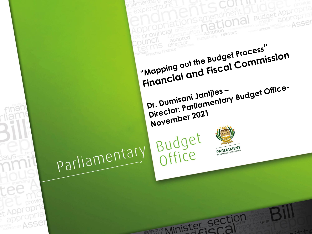**Budget Appropr** ASSer "Mapping out the Budget Process" Financial and Fiscal Commission Director: Parliamentary Budget Office-Dr. Dumisani Jantjies -November 2021 Budget<br>Office parliamentary PARLIAMENT t Appropria appropria registature Minister Section ervice ASSer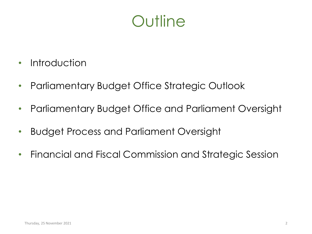# **Outline**

- Introduction
- Parliamentary Budget Office Strategic Outlook
- Parliamentary Budget Office and Parliament Oversight
- Budget Process and Parliament Oversight
- Financial and Fiscal Commission and Strategic Session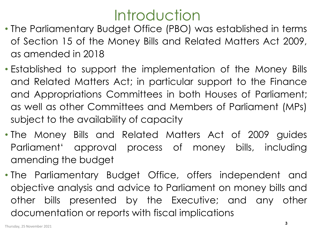# **Introduction**

- The Parliamentary Budget Office (PBO) was established in terms of Section 15 of the Money Bills and Related Matters Act 2009, as amended in 2018
- Established to support the implementation of the Money Bills and Related Matters Act; in particular support to the Finance and Appropriations Committees in both Houses of Parliament; as well as other Committees and Members of Parliament (MPs) subject to the availability of capacity
- The Money Bills and Related Matters Act of 2009 guides Parliament' approval process of money bills, including amending the budget
- The Parliamentary Budget Office, offers independent and objective analysis and advice to Parliament on money bills and other bills presented by the Executive; and any other documentation or reports with fiscal implications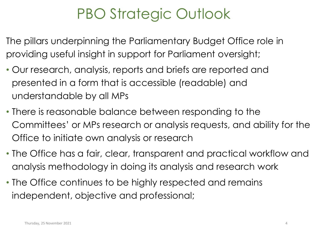# PBO Strategic Outlook

The pillars underpinning the Parliamentary Budget Office role in providing useful insight in support for Parliament oversight;

- Our research, analysis, reports and briefs are reported and presented in a form that is accessible (readable) and understandable by all MPs
- There is reasonable balance between responding to the Committees' or MPs research or analysis requests, and ability for the Office to initiate own analysis or research
- The Office has a fair, clear, transparent and practical workflow and analysis methodology in doing its analysis and research work
- The Office continues to be highly respected and remains independent, objective and professional;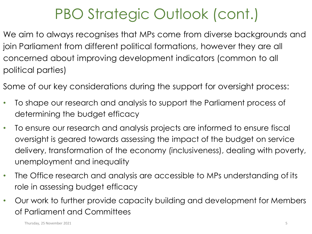# PBO Strategic Outlook (cont.)

We aim to always recognises that MPs come from diverse backgrounds and join Parliament from different political formations, however they are all concerned about improving development indicators (common to all political parties)

- Some of our key considerations during the support for oversight process:
- To shape our research and analysis to support the Parliament process of determining the budget efficacy
- To ensure our research and analysis projects are informed to ensure fiscal oversight is geared towards assessing the impact of the budget on service delivery, transformation of the economy (inclusiveness), dealing with poverty, unemployment and inequality
- The Office research and analysis are accessible to MPs understanding of its role in assessing budget efficacy
- Our work to further provide capacity building and development for Members of Parliament and Committees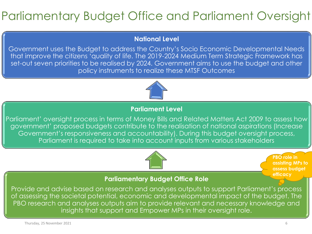### Parliamentary Budget Office and Parliament Oversight

#### **National Level**

Government uses the Budget to address the Country's Socio Economic Developmental Needs that improve the citizens 'quality of life. The 2019-2024 Medium Term Strategic Framework has set-out seven priorities to be realised by 2024. Government aims to use the budget and other policy instruments to realize these MTSF Outcomes



#### **Parliament Level**

Parliament' oversight process in terms of Money Bills and Related Matters Act 2009 to assess how government' proposed budgets contribute to the realisation of national aspirations (Increase Government's responsiveness and accountability). During this budget oversight process, Parliament is required to take into account inputs from various stakeholders



**PBO role in assisting MPs to assess budget efficacy**

#### **Parliamentary Budget Office Role**

Provide and advise based on research and analyses outputs to support Parliament's process of assessing the societal potential, economic and developmental impact of the budget. The PBO research and analyses outputs aim to provide relevant and necessary knowledge and insights that support and Empower MPs in their oversight role.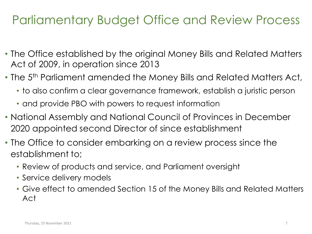### Parliamentary Budget Office and Review Process

- The Office established by the original Money Bills and Related Matters Act of 2009, in operation since 2013
- The 5<sup>th</sup> Parliament amended the Money Bills and Related Matters Act,
	- to also confirm a clear governance framework, establish a juristic person
	- and provide PBO with powers to request information
- National Assembly and National Council of Provinces in December 2020 appointed second Director of since establishment
- The Office to consider embarking on a review process since the establishment to;
	- Review of products and service, and Parliament oversight
	- Service delivery models
	- Give effect to amended Section 15 of the Money Bills and Related Matters Act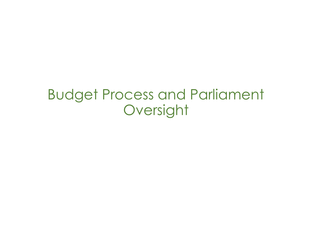## Budget Process and Parliament Oversight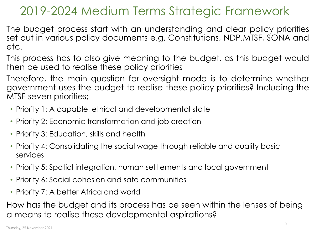### 2019-2024 Medium Terms Strategic Framework

The budget process start with an understanding and clear policy priorities set out in various policy documents e.g. Constitutions, NDP,MTSF, SONA and etc.

This process has to also give meaning to the budget, as this budget would then be used to realise these policy priorities

Therefore, the main question for oversight mode is to determine whether government uses the budget to realise these policy priorities? Including the MTSF seven priorities;

- Priority 1: A capable, ethical and developmental state
- Priority 2: Economic transformation and job creation
- Priority 3: Education, skills and health
- Priority 4: Consolidating the social wage through reliable and quality basic services
- Priority 5: Spatial integration, human settlements and local government
- Priority 6: Social cohesion and safe communities
- Priority 7: A better Africa and world

How has the budget and its process has be seen within the lenses of being a means to realise these developmental aspirations?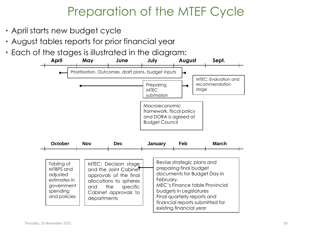### Preparation of the MTEF Cycle

- April starts new budget cycle
- August tables reports for prior financial year
- Each of the stages is illustrated in the diagram:

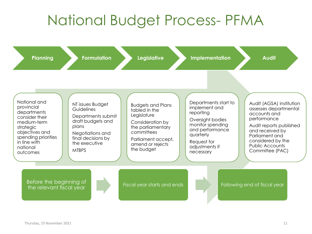# National Budget Process- PFMA

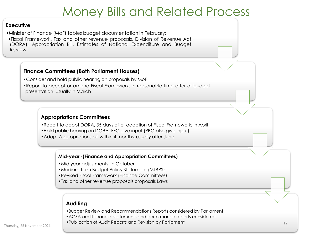### Money Bills and Related Process

#### **Executive**

- •Minister of Finance (MoF) tables budget documentation in February:
- •Fiscal Framework, Tax and other revenue proposals, Division of Revenue Act (DORA), Appropriation Bill, Estimates of National Expenditure and Budget Review

#### **Finance Committees (Both Parliament Houses)**

- •Consider and hold public hearing on proposals by MoF
- •Report to accept or amend Fiscal Framework, in reasonable time after of budget presentation, usually in March

#### **Appropriations Committees**

- •Report to adopt DORA, 35 days after adoption of Fiscal Framework; in April
- •Hold public hearing on DORA, FFC give input (PBO also give input)
- •Adopt Appropriations bill within 4 months, usually after June

#### **Mid-year -(Finance and Appropriation Committees)**

- •Mid year adjustments in October;
- •Medium Term Budget Policy Statement (MTBPS)
- •Revised Fiscal Framework (Finance Committees)
- •Tax and other revenue proposals proposals Laws

#### **Auditing**

- •Budget Review and Recommendations Reports considered by Parliament;
- •AGSA audit financial statements and performance reports considered
- •Publication of Audit Reports and Revision by Parliament Thursday, 25 November 2021 <sup>12</sup>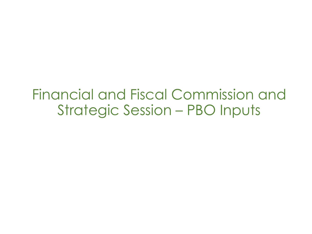Financial and Fiscal Commission and Strategic Session – PBO Inputs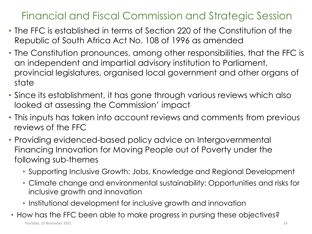- The FFC is established in terms of Section 220 of the Constitution of the Republic of South Africa Act No. 108 of 1996 as amended
- The Constitution pronounces, among other responsibilities, that the FFC is an independent and impartial advisory institution to Parliament, provincial legislatures, organised local government and other organs of state
- Since its establishment, it has gone through various reviews which also looked at assessing the Commission' impact
- This inputs has taken into account reviews and comments from previous reviews of the FFC
- Providing evidenced-based policy advice on Intergovernmental Financing Innovation for Moving People out of Poverty under the following sub-themes
	- Supporting Inclusive Growth: Jobs, Knowledge and Regional Development
	- Climate change and environmental sustainability: Opportunities and risks for inclusive growth and innovation
	- Institutional development for inclusive growth and innovation
- How has the FFC been able to make progress in pursing these objectives?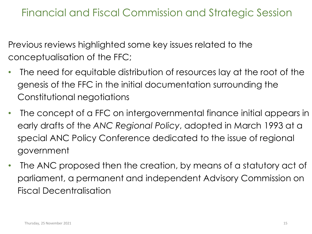Previous reviews highlighted some key issues related to the conceptualisation of the FFC;

- The need for equitable distribution of resources lay at the root of the genesis of the FFC in the initial documentation surrounding the Constitutional negotiations
- The concept of a FFC on intergovernmental finance initial appears in early drafts of the *ANC Regional Policy*, adopted in March 1993 at a special ANC Policy Conference dedicated to the issue of regional government
- The ANC proposed then the creation, by means of a statutory act of parliament, a permanent and independent Advisory Commission on Fiscal Decentralisation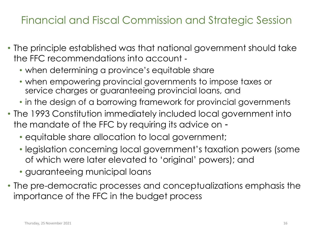- The principle established was that national government should take the FFC recommendations into account ‐
	- when determining a province's equitable share
	- when empowering provincial governments to impose taxes or service charges or guaranteeing provincial loans, and
	- in the design of a borrowing framework for provincial governments
- The 1993 Constitution immediately included local government into the mandate of the FFC by requiring its advice on ‐
	- equitable share allocation to local government;
	- legislation concerning local government's taxation powers (some of which were later elevated to 'original' powers); and
	- guaranteeing municipal loans
- The pre-democratic processes and conceptualizations emphasis the importance of the FFC in the budget process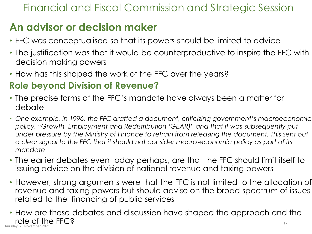### **An advisor or decision maker**

- FFC was conceptualised so that its powers should be limited to advice
- The justification was that it would be counterproductive to inspire the FFC with decision making powers
- How has this shaped the work of the FFC over the years?

### **Role beyond Division of Revenue?**

- The precise forms of the FFC's mandate have always been a matter for debate
- *One example, in 1996, the FFC drafted a document, criticizing government's macroeconomic policy, "Growth, Employment and Redistribution (GEAR)" and that it was subsequently put under pressure by the Ministry of Finance to refrain from releasing the document. This sent out a clear signal to the FFC that it should not consider macro*‐*economic policy as part of its mandate*
- The earlier debates even today perhaps, are that the FFC should limit itself to issuing advice on the division of national revenue and taxing powers
- However, strong arguments were that the FFC is not limited to the allocation of revenue and taxing powers but should advise on the broad spectrum of issues related to the financing of public services
- How are these debates and discussion have shaped the approach and the role of the FFC? 17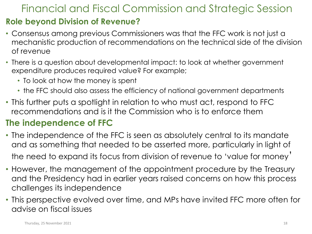### **Role beyond Division of Revenue?**

- Consensus among previous Commissioners was that the FFC work is not just a mechanistic production of recommendations on the technical side of the division of revenue
- There is a question about developmental impact: to look at whether government expenditure produces required value? For example;
	- To look at how the money is spent
	- the FFC should also assess the efficiency of national government departments
- This further puts a spotlight in relation to who must act, respond to FFC recommendations and is it the Commission who is to enforce them

### **The independence of FFC**

- The independence of the FFC is seen as absolutely central to its mandate and as something that needed to be asserted more, particularly in light of the need to expand its focus from division of revenue to 'value for money'
- However, the management of the appointment procedure by the Treasury and the Presidency had in earlier years raised concerns on how this process challenges its independence
- This perspective evolved over time, and MPs have invited FFC more often for advise on fiscal issues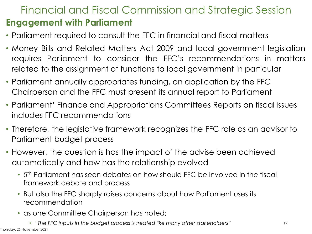### Financial and Fiscal Commission and Strategic Session **Engagement with Parliament**

- Parliament required to consult the FFC in financial and fiscal matters
- Money Bills and Related Matters Act 2009 and local government legislation requires Parliament to consider the FFC's recommendations in matters related to the assignment of functions to local government in particular
- Parliament annually appropriates funding, on application by the FFC Chairperson and the FFC must present its annual report to Parliament
- Parliament' Finance and Appropriations Committees Reports on fiscal issues includes FFC recommendations
- Therefore, the legislative framework recognizes the FFC role as an advisor to Parliament budget process
- However, the question is has the impact of the advise been achieved automatically and how has the relationship evolved
	- 5 th Parliament has seen debates on how should FFC be involved in the fiscal framework debate and process
	- But also the FFC sharply raises concerns about how Parliament uses its recommendation
	- as one Committee Chairperson has noted;
		- *"The FFC inputs in the budget process is treated like many other stakeholders"*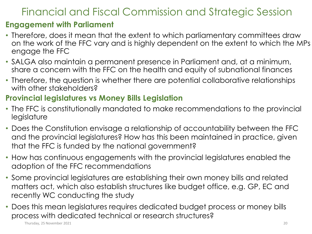#### **Engagement with Parliament**

- Therefore, does it mean that the extent to which parliamentary committees draw on the work of the FFC vary and is highly dependent on the extent to which the MPs engage the FFC
- SALGA also maintain a permanent presence in Parliament and, at a minimum, share a concern with the FFC on the health and equity of subnational finances
- Therefore, the question is whether there are potential collaborative relationships with other stakeholders?

#### **Provincial legislatures vs Money Bills Legislation**

- The FFC is constitutionally mandated to make recommendations to the provincial legislature
- Does the Constitution envisage a relationship of accountability between the FFC and the provincial legislatures? How has this been maintained in practice, given that the FFC is funded by the national government?
- How has continuous engagements with the provincial legislatures enabled the adoption of the FFC recommendations
- Some provincial legislatures are establishing their own money bills and related matters act, which also establish structures like budget office, e.g. GP, EC and recently WC conducting the study
- Does this mean legislatures requires dedicated budget process or money bills process with dedicated technical or research structures?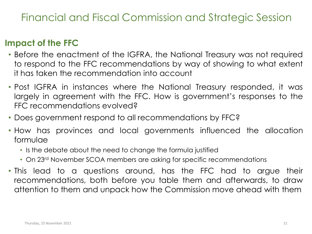### **Impact of the FFC**

- Before the enactment of the IGFRA, the National Treasury was not required to respond to the FFC recommendations by way of showing to what extent it has taken the recommendation into account
- Post IGFRA in instances where the National Treasury responded, it was largely in agreement with the FFC. How is government's responses to the FFC recommendations evolved?
- Does government respond to all recommendations by FFC?
- How has provinces and local governments influenced the allocation formulae
	- Is the debate about the need to change the formula justified
	- On 23<sup>rd</sup> November SCOA members are asking for specific recommendations
- This lead to a questions around, has the FFC had to argue their recommendations, both before you table them and afterwards, to draw attention to them and unpack how the Commission move ahead with them